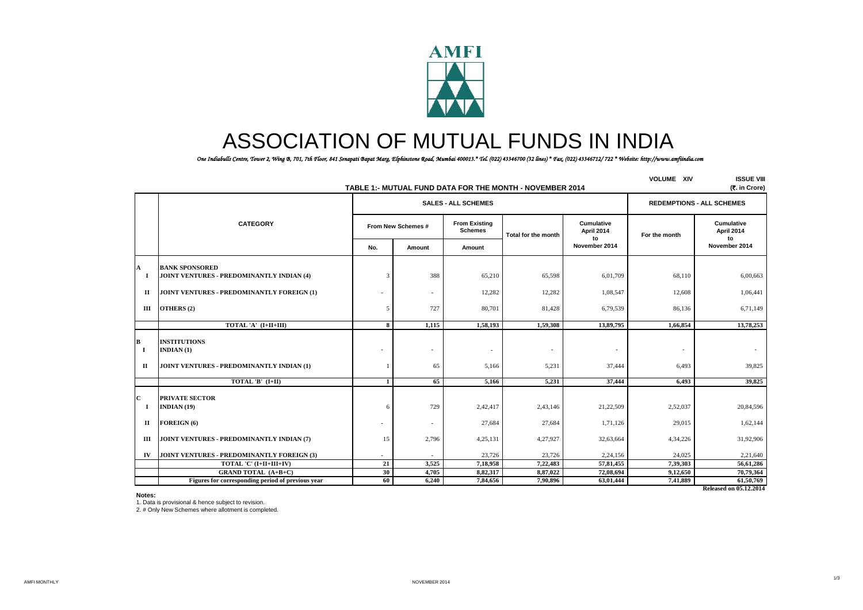

# ASSOCIATION OF MUTUAL FUNDS IN INDIA

*One Indiabulls Centre, Tower 2, Wing B, 701, 7th Floor, 841 Senapati Bapat Marg, Elphinstone Road, Mumbai 400013.\* Tel. (022) 43346700 (32 lines) \* Fax. (022) 43346712/ 722 \* Website: http://www.amfiindia.com*

|                               | TABLE 1:- MUTUAL FUND DATA FOR THE MONTH - NOVEMBER 2014                              | <b>VOLUME XIV</b> | <b>ISSUE VIII</b><br>(र. in Crore) |                                        |                                   |                                 |                                   |                                 |
|-------------------------------|---------------------------------------------------------------------------------------|-------------------|------------------------------------|----------------------------------------|-----------------------------------|---------------------------------|-----------------------------------|---------------------------------|
|                               |                                                                                       |                   |                                    | <b>SALES - ALL SCHEMES</b>             |                                   |                                 | <b>REDEMPTIONS - ALL SCHEMES</b>  |                                 |
|                               | <b>CATEGORY</b>                                                                       |                   | From New Schemes #                 | <b>From Existing</b><br><b>Schemes</b> | <b>Total for the month</b>        | <b>Cumulative</b><br>April 2014 | For the month                     | <b>Cumulative</b><br>April 2014 |
|                               |                                                                                       | No.               | Amount                             | Amount                                 |                                   | to<br>November 2014             |                                   | to<br>November 2014             |
| A<br>1                        | <b>BANK SPONSORED</b><br>JOINT VENTURES - PREDOMINANTLY INDIAN (4)                    | $\mathcal{R}$     | 388                                | 65,210                                 | 65,598                            | 6,01,709                        | 68,110                            | 6,00,663                        |
| $\mathbf{I}$                  | JOINT VENTURES - PREDOMINANTLY FOREIGN (1)                                            |                   | $\overline{\phantom{a}}$           | 12,282                                 | 12,282                            | 1,08,547                        | 12,608                            | 1,06,441                        |
| Ш                             | OTHERS (2)                                                                            | .5                | 727                                | 80,701                                 | 81,428                            | 6,79,539                        | 86,136                            | 6,71,149                        |
|                               | TOTAL 'A' (I+II+III)                                                                  | 8                 | 1,115                              | 1,58,193                               | 1,59,308                          | 13,89,795                       | 1,66,854                          | 13,78,253                       |
| В<br>$\bf{I}$<br>$\mathbf{I}$ | <b>INSTITUTIONS</b><br><b>INDIAN</b> (1)<br>JOINT VENTURES - PREDOMINANTLY INDIAN (1) |                   | ٠<br>65                            | $\overline{a}$<br>5.166                | $\overline{\phantom{a}}$<br>5,231 | $\overline{a}$<br>37,444        | $\overline{\phantom{a}}$<br>6,493 | 39,825                          |
|                               | TOTAL 'B' (I+II)                                                                      | $\mathbf{1}$      | 65                                 | 5,166                                  | 5,231                             | 37,444                          | 6,493                             | 39,825                          |
| C<br>-1                       | <b>PRIVATE SECTOR</b><br>INDIAN $(19)$                                                | -6                | 729                                | 2,42,417                               | 2,43,146                          | 21,22,509                       | 2,52,037                          | 20,84,596                       |
| П                             | FOREIGN (6)                                                                           |                   | ٠                                  | 27,684                                 | 27,684                            | 1,71,126                        | 29,015                            | 1,62,144                        |
| Ш                             | JOINT VENTURES - PREDOMINANTLY INDIAN (7)                                             | 15                | 2,796                              | 4,25,131                               | 4,27,927                          | 32,63,664                       | 4,34,226                          | 31,92,906                       |
| IV                            | JOINT VENTURES - PREDOMINANTLY FOREIGN (3)                                            |                   |                                    | 23,726                                 | 23,726                            | 2,24,156                        | 24,025                            | 2,21,640                        |
|                               | TOTAL 'C' (I+II+III+IV)                                                               | 21                | 3,525                              | 7,18,958                               | 7,22,483                          | 57,81,455                       | 7.39.303                          | 56,61,286                       |
|                               | <b>GRAND TOTAL (A+B+C)</b>                                                            | 30                | 4,705                              | 8,82,317                               | 8,87,022                          | 72,08,694                       | 9,12,650                          | 70,79,364                       |
|                               | Figures for corresponding period of previous year                                     | 60                | 6,240                              | 7,84,656                               | 7,90,896                          | 63,01,444                       | 7,41,889                          | 61,50,769                       |
|                               |                                                                                       |                   |                                    |                                        |                                   |                                 |                                   | <b>Released on 05.12.2014</b>   |

**Notes:**

1. Data is provisional & hence subject to revision.

2. # Only New Schemes where allotment is completed.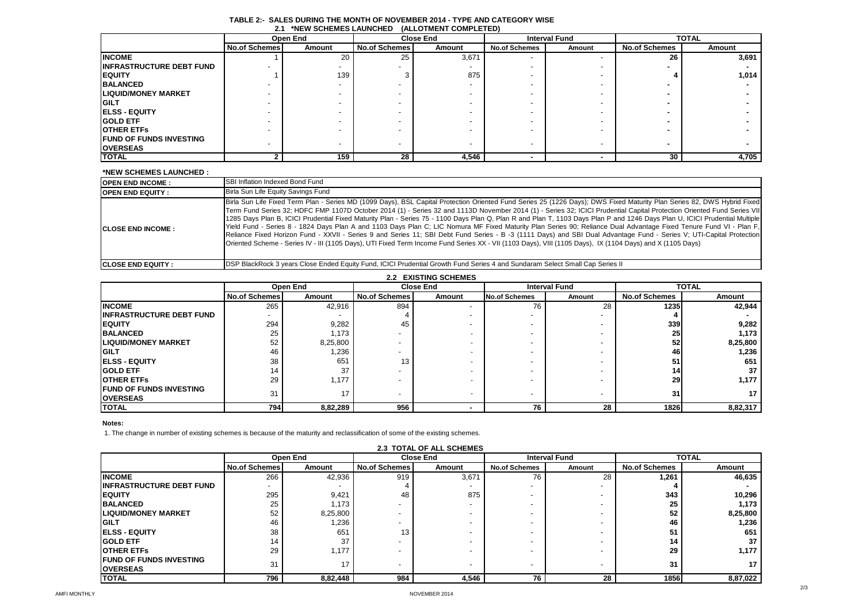| ---                             |                      |          |                      |                  |                      |        |                      |              |
|---------------------------------|----------------------|----------|----------------------|------------------|----------------------|--------|----------------------|--------------|
|                                 |                      | Open End |                      | <b>Close End</b> | <b>Interval Fund</b> |        |                      | <b>TOTAL</b> |
|                                 | <b>No.of Schemes</b> | Amount   | <b>No.of Schemes</b> | Amount           | <b>No.of Schemes</b> | Amount | <b>No.of Schemes</b> | Amount       |
| <b>INCOME</b>                   |                      | 20       | 25                   | 3,671            |                      |        | 26                   | 3,691        |
| <b>INFRASTRUCTURE DEBT FUND</b> |                      |          |                      |                  |                      |        |                      |              |
| <b>EQUITY</b>                   |                      | 139      | ົ                    | 875              |                      |        |                      | 1,014        |
| <b>BALANCED</b>                 |                      |          |                      |                  |                      |        |                      |              |
| <b>LIQUID/MONEY MARKET</b>      |                      |          |                      |                  |                      |        |                      |              |
| <b>GILT</b>                     |                      |          |                      |                  |                      |        |                      |              |
| <b>ELSS - EQUITY</b>            |                      |          |                      |                  |                      |        |                      |              |
| <b>GOLD ETF</b>                 |                      |          |                      |                  |                      |        |                      |              |
| <b>OTHER ETFS</b>               |                      |          |                      |                  |                      |        |                      |              |
| <b>FUND OF FUNDS INVESTING</b>  |                      |          |                      |                  |                      |        |                      |              |
| <b>OVERSEAS</b>                 |                      |          |                      |                  |                      |        |                      |              |
| <b>TOTAL</b>                    |                      | 159      | 28                   | 4,546            |                      |        | 30                   | 4,705        |

### **TABLE 2:- SALES DURING THE MONTH OF NOVEMBER 2014 - TYPE AND CATEGORY WISE 2.1 \*NEW SCHEMES LAUNCHED (ALLOTMENT COMPLETED)**

#### **\*NEW SCHEMES LAUNCHED :**

| <b>IOPEN END INCOME:</b>   | <b>SBI Inflation Indexed Bond Fund</b>                                                                                                                                                                                                                                                                                                                                                                                                                                                                                                                                                                                                                                                                                                                                                                                                                                                                                                                                                                                                      |
|----------------------------|---------------------------------------------------------------------------------------------------------------------------------------------------------------------------------------------------------------------------------------------------------------------------------------------------------------------------------------------------------------------------------------------------------------------------------------------------------------------------------------------------------------------------------------------------------------------------------------------------------------------------------------------------------------------------------------------------------------------------------------------------------------------------------------------------------------------------------------------------------------------------------------------------------------------------------------------------------------------------------------------------------------------------------------------|
| <b>OPEN END EQUITY:</b>    | Birla Sun Life Equity Savings Fund                                                                                                                                                                                                                                                                                                                                                                                                                                                                                                                                                                                                                                                                                                                                                                                                                                                                                                                                                                                                          |
| <b>ICLOSE END INCOME:</b>  | Birla Sun Life Fixed Term Plan - Series MD (1099 Days), BSL Capital Protection Oriented Fund Series 25 (1226 Days); DWS Fixed Maturity Plan Series 82, DWS Hybrid Fixed<br>Term Fund Series 32; HDFC FMP 1107D October 2014 (1) - Series 32 and 1113D November 2014 (1) - Series 32; ICICI Prudential Capital Protection Oriented Fund Series VII<br>1285 Days Plan B, ICICI Prudential Fixed Maturity Plan - Series 75 - 1100 Days Plan Q, Plan R and Plan T, 1103 Days Plan P and 1246 Days Plan U, ICICI Prudential Multiple<br>[Yield Fund - Series 8 - 1824 Days Plan A and 1103 Days Plan C; LIC Nomura MF Fixed Maturity Plan Series 90; Reliance Dual Advantage Fixed Tenure Fund VI - Plan F,<br>Reliance Fixed Horizon Fund - XXVII - Series 9 and Series 11; SBI Debt Fund Series - B -3 (1111 Days) and SBI Dual Advantage Fund - Series V; UTI-Capital Protection<br>Oriented Scheme - Series IV - III (1105 Days), UTI Fixed Term Income Fund Series XX - VII (1103 Days), VIII (1105 Days), IX (1104 Days) and X (1105 Days) |
| <b>ICLOSE END EQUITY :</b> | <b>IDSP BlackRock 3 years Close Ended Equity Fund, ICICI Prudential Growth Fund Series 4 and Sundaram Select Small Cap Series II</b>                                                                                                                                                                                                                                                                                                                                                                                                                                                                                                                                                                                                                                                                                                                                                                                                                                                                                                        |

| <b>2.2 EXISTING SCHEMES</b>      |                          |          |                      |                          |                      |                      |                      |          |
|----------------------------------|--------------------------|----------|----------------------|--------------------------|----------------------|----------------------|----------------------|----------|
|                                  |                          | Open End |                      | <b>Close End</b>         |                      | <b>Interval Fund</b> | <b>TOTAL</b>         |          |
|                                  | <b>No.of Schemes</b>     | Amount   | <b>No.of Schemes</b> | Amount                   | <b>No.of Schemes</b> | Amount               | <b>No.of Schemes</b> | Amount   |
| <b>INCOME</b>                    | 265                      | 42,916   | 894                  | $\overline{\phantom{0}}$ | 76                   | 28                   | 1235                 | 42,944   |
| <b>IINFRASTRUCTURE DEBT FUND</b> | $\overline{\phantom{a}}$ |          |                      |                          |                      |                      |                      |          |
| <b>IEQUITY</b>                   | 294                      | 9,282    | 45                   |                          |                      |                      | 339                  | 9,282    |
| <b>BALANCED</b>                  | 25                       | 1,173    |                      |                          |                      |                      | 25 <sub>1</sub>      | 1,173    |
| <b>LIQUID/MONEY MARKET</b>       | 52                       | 8,25,800 |                      |                          |                      |                      | 52                   | 8,25,800 |
| <b>IGILT</b>                     | 46                       | ,236     |                      |                          |                      |                      | 46                   | 1,236    |
| <b>IELSS - EQUITY</b>            | 38                       | 651      | 13                   |                          |                      |                      | 51                   | 651      |
| <b>IGOLD ETF</b>                 | 14                       | 37       |                      |                          |                      |                      | 14                   | 37       |
| <b>OTHER ETFS</b>                | 29                       | 1,177    |                      |                          |                      |                      | 29                   | 1,177    |
| <b>IFUND OF FUNDS INVESTING</b>  | 31                       | 17       |                      |                          |                      |                      | 31                   | 17       |
| <b>IOVERSEAS</b>                 |                          |          |                      |                          |                      |                      |                      |          |
| <b>TOTAL</b>                     | 794                      | 8,82,289 | 956                  |                          | 76                   | 28                   | 1826                 | 8,82,317 |

## **Notes:**

1. The change in number of existing schemes is because of the maturity and reclassification of some of the existing schemes.

| <b>2.3 TOTAL OF ALL SCHEMES</b>  |                      |          |                      |                          |                      |        |                      |          |
|----------------------------------|----------------------|----------|----------------------|--------------------------|----------------------|--------|----------------------|----------|
|                                  |                      | Open End |                      | <b>Close End</b>         | <b>Interval Fund</b> |        | <b>TOTAL</b>         |          |
|                                  | <b>No.of Schemes</b> | Amount   | <b>No.of Schemes</b> | Amount                   | <b>No.of Schemes</b> | Amount | <b>No.of Schemes</b> | Amount   |
| <b>INCOME</b>                    | 266                  | 42,936   | 919                  | 3,671                    | 76                   | 28     | 1,261                | 46,635   |
| <b>IINFRASTRUCTURE DEBT FUND</b> |                      |          |                      |                          |                      |        |                      |          |
| <b>IEQUITY</b>                   | 295                  | 9,421    | 48                   | 875                      |                      |        | 343                  | 10,296   |
| <b>BALANCED</b>                  | 25                   | 1,173    |                      | $\overline{\phantom{a}}$ |                      |        | 25                   | 1,173    |
| <b>LIQUID/MONEY MARKET</b>       | 52                   | 8,25,800 |                      |                          |                      |        | 52                   | 8,25,800 |
| <b>IGILT</b>                     | 46                   | 1,236    |                      | $\overline{\phantom{a}}$ |                      |        | 46                   | 1,236    |
| <b>IELSS - EQUITY</b>            | 38                   | 651      | 13                   |                          |                      |        | 51                   | 651      |
| <b>IGOLD ETF</b>                 | 14                   | 37       |                      |                          |                      |        | 14                   | 37       |
| <b>OTHER ETFS</b>                | 29                   | 1,177    |                      |                          |                      |        | 29                   | 1,177    |
| <b>IFUND OF FUNDS INVESTING</b>  | 31                   | 17       |                      |                          |                      |        | 31                   | 17       |
| <b>OVERSEAS</b>                  |                      |          |                      | $\overline{\phantom{a}}$ |                      |        |                      |          |
| <b>TOTAL</b>                     | 796                  | 8,82,448 | 984                  | 4,546                    | 76                   | 28     | 1856                 | 8,87,022 |